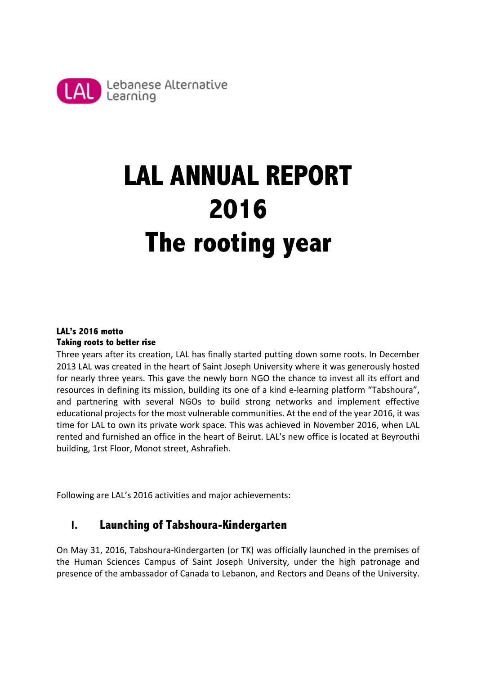

# **LAL ANNUAL REPORT 2016 The rooting year**

### **LAL's 2016 motto Taking roots to better rise**

Three years after its creation, LAL has finally started putting down some roots. In December 2013 LAL was created in the heart of Saint Joseph University where it was generously hosted for nearly three years. This gave the newly born NGO the chance to invest all its effort and resources in defining its mission, building its one of a kind e-learning platform "Tabshoura", and partnering with several NGOs to build strong networks and implement effective educational projects for the most vulnerable communities. At the end of the year 2016, it was time for LAL to own its private work space. This was achieved in November 2016, when LAL rented and furnished an office in the heart of Beirut. LAL's new office is located at Beyrouthi building, 1rst Floor, Monot street, Ashrafieh.

Following are LAL's 2016 activities and major achievements:

## **I. Launching of Tabshoura-Kindergarten**

On May 31, 2016, Tabshoura-Kindergarten (or TK) was officially launched in the premises of the Human Sciences Campus of Saint Joseph University, under the high patronage and presence of the ambassador of Canada to Lebanon, and Rectors and Deans of the University.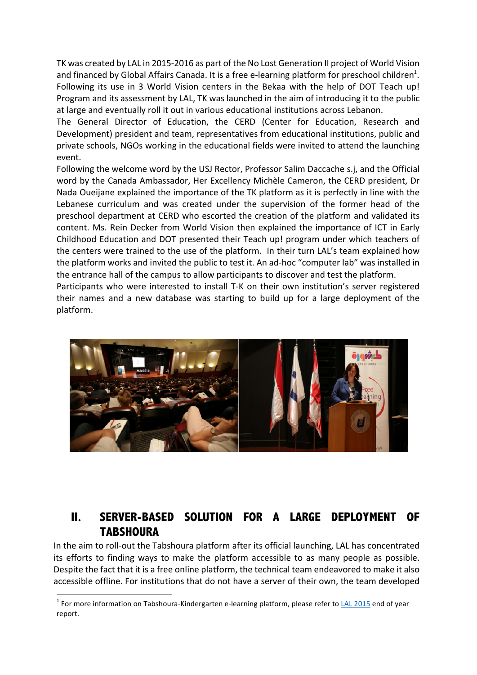TK was created by LAL in 2015-2016 as part of the No Lost Generation II project of World Vision and financed by Global Affairs Canada. It is a free e-learning platform for preschool children<sup>1</sup>. Following its use in 3 World Vision centers in the Bekaa with the help of DOT Teach up! Program and its assessment by LAL, TK was launched in the aim of introducing it to the public at large and eventually roll it out in various educational institutions across Lebanon.

The General Director of Education, the CERD (Center for Education, Research and Development) president and team, representatives from educational institutions, public and private schools, NGOs working in the educational fields were invited to attend the launching event. 

Following the welcome word by the USJ Rector, Professor Salim Daccache s.j, and the Official word by the Canada Ambassador, Her Excellency Michèle Cameron, the CERD president, Dr Nada Oueijane explained the importance of the TK platform as it is perfectly in line with the Lebanese curriculum and was created under the supervision of the former head of the preschool department at CERD who escorted the creation of the platform and validated its content. Ms. Rein Decker from World Vision then explained the importance of ICT in Early Childhood Education and DOT presented their Teach up! program under which teachers of the centers were trained to the use of the platform. In their turn LAL's team explained how the platform works and invited the public to test it. An ad-hoc "computer lab" was installed in the entrance hall of the campus to allow participants to discover and test the platform.

Participants who were interested to install T-K on their own institution's server registered their names and a new database was starting to build up for a large deployment of the platform. 



## **II. SERVER-BASED SOLUTION FOR A LARGE DEPLOYMENT OF TABSHOURA**

In the aim to roll-out the Tabshoura platform after its official launching, LAL has concentrated its efforts to finding ways to make the platform accessible to as many people as possible. Despite the fact that it is a free online platform, the technical team endeavored to make it also accessible offline. For institutions that do not have a server of their own, the team developed

 $1$  For more information on Tabshoura-Kindergarten e-learning platform, please refer to LAL 2015 end of year report.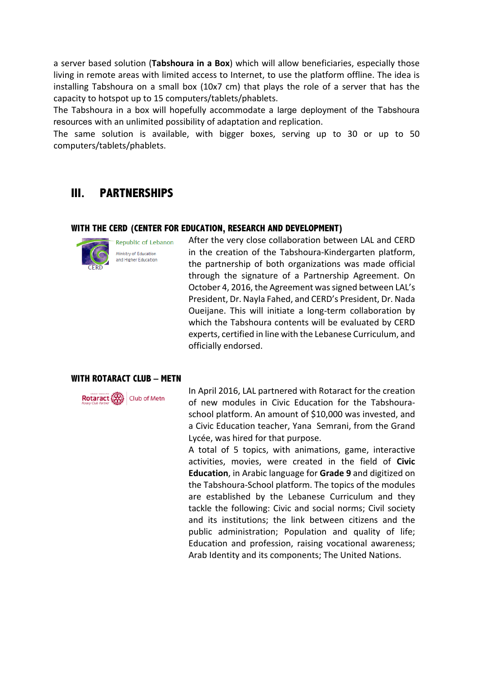a server based solution (Tabshoura in a Box) which will allow beneficiaries, especially those living in remote areas with limited access to Internet, to use the platform offline. The idea is installing Tabshoura on a small box  $(10x7 \text{ cm})$  that plays the role of a server that has the capacity to hotspot up to 15 computers/tablets/phablets.

The Tabshoura in a box will hopefully accommodate a large deployment of the Tabshoura resources with an unlimited possibility of adaptation and replication.

The same solution is available, with bigger boxes, serving up to 30 or up to 50 computers/tablets/phablets. 

## **III. PARTNERSHIPS**

#### **WITH THE CERD (CENTER FOR EDUCATION, RESEARCH AND DEVELOPMENT)**



After the very close collaboration between LAL and CERD in the creation of the Tabshoura-Kindergarten platform, the partnership of both organizations was made official through the signature of a Partnership Agreement. On October 4, 2016, the Agreement was signed between LAL's President, Dr. Nayla Fahed, and CERD's President, Dr. Nada Oueijane. This will initiate a long-term collaboration by which the Tabshoura contents will be evaluated by CERD experts, certified in line with the Lebanese Curriculum, and officially endorsed. 

#### **WITH ROTARACT CLUB – METN**



In April 2016, LAL partnered with Rotaract for the creation of new modules in Civic Education for the Tabshouraschool platform. An amount of \$10,000 was invested, and a Civic Education teacher, Yana Semrani, from the Grand Lycée, was hired for that purpose.

A total of 5 topics, with animations, game, interactive activities, movies, were created in the field of Civic **Education**, in Arabic language for **Grade 9** and digitized on the Tabshoura-School platform. The topics of the modules are established by the Lebanese Curriculum and they tackle the following: Civic and social norms; Civil society and its institutions; the link between citizens and the public administration; Population and quality of life; Education and profession, raising vocational awareness; Arab Identity and its components; The United Nations.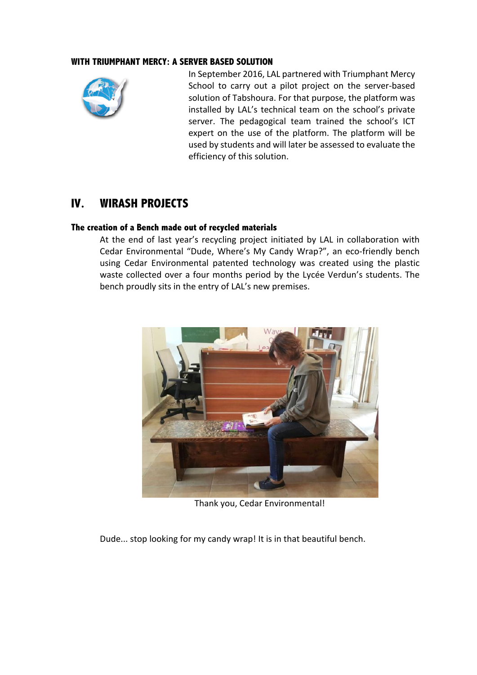#### **WITH TRIUMPHANT MERCY: A SERVER BASED SOLUTION**



In September 2016, LAL partnered with Triumphant Mercy School to carry out a pilot project on the server-based solution of Tabshoura. For that purpose, the platform was installed by LAL's technical team on the school's private server. The pedagogical team trained the school's ICT expert on the use of the platform. The platform will be used by students and will later be assessed to evaluate the efficiency of this solution.

## **IV. WIRASH PROJECTS**

#### **The creation of a Bench made out of recycled materials**

At the end of last year's recycling project initiated by LAL in collaboration with Cedar Environmental "Dude, Where's My Candy Wrap?", an eco-friendly bench using Cedar Environmental patented technology was created using the plastic waste collected over a four months period by the Lycée Verdun's students. The bench proudly sits in the entry of LAL's new premises.



Thank you, Cedar Environmental!

Dude... stop looking for my candy wrap! It is in that beautiful bench.